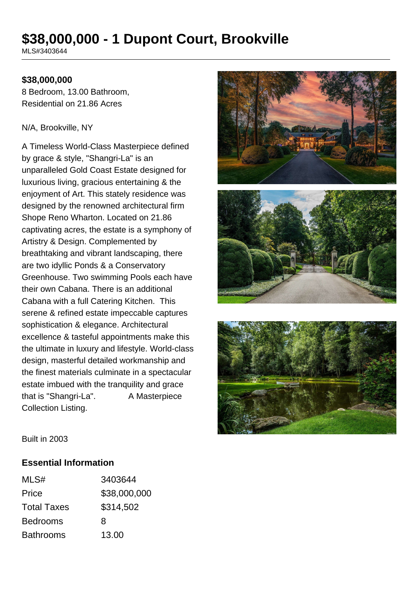# **\$38,000,000 - 1 Dupont Court, Brookville**

MLS#3403644

#### **\$38,000,000**

8 Bedroom, 13.00 Bathroom, Residential on 21.86 Acres

#### N/A, Brookville, NY

A Timeless World-Class Masterpiece defined by grace & style, "Shangri-La" is an unparalleled Gold Coast Estate designed for luxurious living, gracious entertaining & the enjoyment of Art. This stately residence was designed by the renowned architectural firm Shope Reno Wharton. Located on 21.86 captivating acres, the estate is a symphony of Artistry & Design. Complemented by breathtaking and vibrant landscaping, there are two idyllic Ponds & a Conservatory Greenhouse. Two swimming Pools each have their own Cabana. There is an additional Cabana with a full Catering Kitchen. This serene & refined estate impeccable captures sophistication & elegance. Architectural excellence & tasteful appointments make this the ultimate in luxury and lifestyle. World-class design, masterful detailed workmanship and the finest materials culminate in a spectacular estate imbued with the tranquility and grace that is "Shangri-La". A Masterpiece Collection Listing.





Built in 2003

#### **Essential Information**

| MLS#               | 3403644      |
|--------------------|--------------|
| Price              | \$38,000,000 |
| <b>Total Taxes</b> | \$314,502    |
| <b>Bedrooms</b>    | 8            |
| <b>Bathrooms</b>   | 13.00        |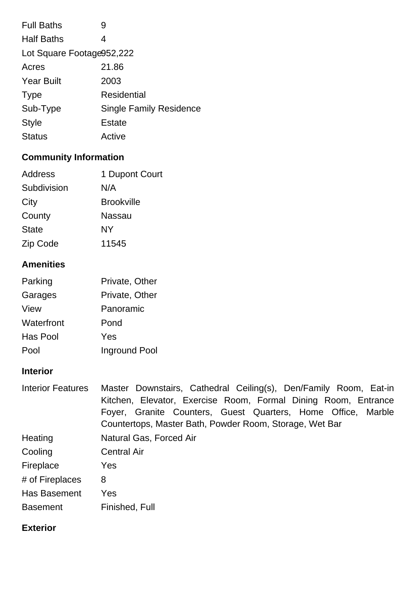| <b>Full Baths</b>         | 9                              |  |
|---------------------------|--------------------------------|--|
| <b>Half Baths</b>         | 4                              |  |
| Lot Square Footage952,222 |                                |  |
| Acres                     | 21.86                          |  |
| <b>Year Built</b>         | 2003                           |  |
| <b>Type</b>               | Residential                    |  |
| Sub-Type                  | <b>Single Family Residence</b> |  |
| <b>Style</b>              | Estate                         |  |
| <b>Status</b>             | Active                         |  |

# **Community Information**

| Address      | 1 Dupont Court    |
|--------------|-------------------|
| Subdivision  | N/A               |
| City         | <b>Brookville</b> |
| County       | Nassau            |
| <b>State</b> | NΥ                |
| Zip Code     | 11545             |

# **Amenities**

| Parking    | Private, Other |
|------------|----------------|
| Garages    | Private, Other |
| View       | Panoramic      |
| Waterfront | Pond           |
| Has Pool   | Yes            |
| Pool       | Inground Pool  |

# **Interior**

| <b>Interior Features</b> | Master Downstairs, Cathedral Ceiling(s), Den/Family Room, Eat-in |  |  |  |
|--------------------------|------------------------------------------------------------------|--|--|--|
|                          | Kitchen, Elevator, Exercise Room, Formal Dining Room, Entrance   |  |  |  |
|                          | Foyer, Granite Counters, Guest Quarters, Home Office, Marble     |  |  |  |
|                          | Countertops, Master Bath, Powder Room, Storage, Wet Bar          |  |  |  |
| Heating                  | Natural Gas, Forced Air                                          |  |  |  |
| Cooling                  | <b>Central Air</b>                                               |  |  |  |
| Fireplace                | Yes                                                              |  |  |  |
| # of Fireplaces          | 8                                                                |  |  |  |
| Has Basement             | Yes                                                              |  |  |  |
| <b>Basement</b>          | Finished, Full                                                   |  |  |  |

## **Exterior**